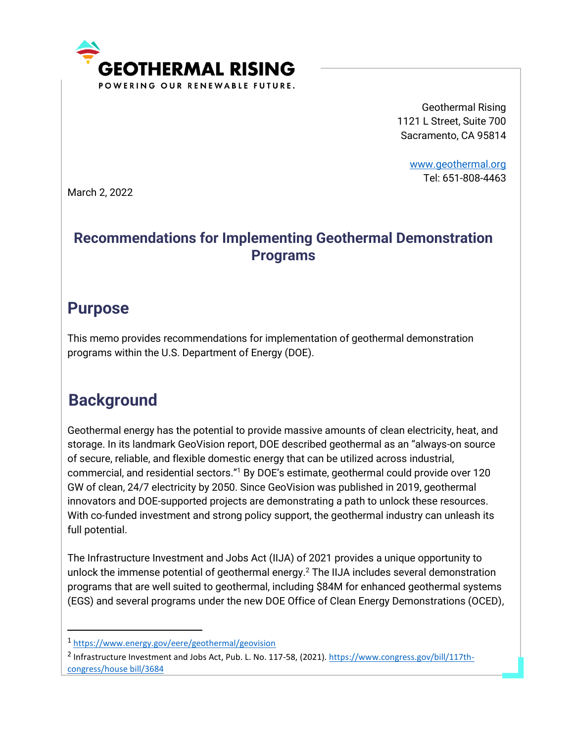

Geothermal Rising 1121 L Street, Suite 700 Sacramento, CA 95814

> [www.geothermal.org](http://www.geothermal.org/) Tel: 651-808-4463

March 2, 2022

### **Recommendations for Implementing Geothermal Demonstration Programs**

## **Purpose**

This memo provides recommendations for implementation of geothermal demonstration programs within the U.S. Department of Energy (DOE).

# **Background**

Geothermal energy has the potential to provide massive amounts of clean electricity, heat, and storage. In its landmark GeoVision report, DOE described geothermal as an "always-on source of secure, reliable, and flexible domestic energy that can be utilized across industrial, commercial, and residential sectors."<sup>1</sup> By DOE's estimate, geothermal could provide over 120 GW of clean, 24/7 electricity by 2050. Since GeoVision was published in 2019, geothermal innovators and DOE-supported projects are demonstrating a path to unlock these resources. With co-funded investment and strong policy support, the geothermal industry can unleash its full potential.

The Infrastructure Investment and Jobs Act (IIJA) of 2021 provides a unique opportunity to unlock the immense potential of geothermal energy.<sup>2</sup> The IIJA includes several demonstration programs that are well suited to geothermal, including \$84M for enhanced geothermal systems (EGS) and several programs under the new DOE Office of Clean Energy Demonstrations (OCED),

<sup>1</sup> <https://www.energy.gov/eere/geothermal/geovision>

<sup>&</sup>lt;sup>2</sup> Infrastructure Investment and Jobs Act, Pub. L. No. 117-58, (2021). [https://www.congress.gov/bill/117th](https://www.congress.gov/bill/117th-congress/house%20bill/3684)[congress/house bill/3684](https://www.congress.gov/bill/117th-congress/house%20bill/3684)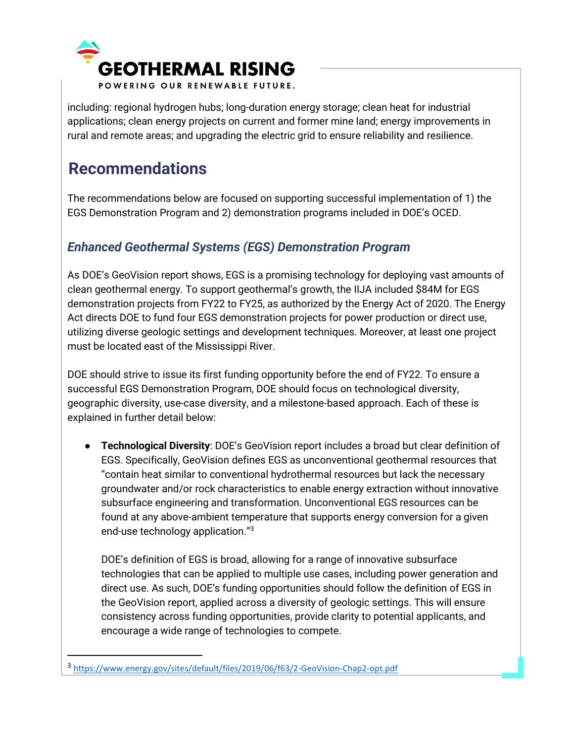

including: regional hydrogen hubs; long-duration energy storage; clean heat for industrial applications; clean energy projects on current and former mine land; energy improvements in rural and remote areas; and upgrading the electric grid to ensure reliability and resilience.

# **Recommendations**

The recommendations below are focused on supporting successful implementation of 1) the EGS Demonstration Program and 2) demonstration programs included in DOE's OCED.

### *Enhanced Geothermal Systems (EGS) Demonstration Program*

As DOE's GeoVision report shows, EGS is a promising technology for deploying vast amounts of clean geothermal energy. To support geothermal's growth, the IIJA included \$84M for EGS demonstration projects from FY22 to FY25, as authorized by the Energy Act of 2020. The Energy Act directs DOE to fund four EGS demonstration projects for power production or direct use, utilizing diverse geologic settings and development techniques. Moreover, at least one project must be located east of the Mississippi River.

DOE should strive to issue its first funding opportunity before the end of FY22. To ensure a successful EGS Demonstration Program, DOE should focus on technological diversity, geographic diversity, use-case diversity, and a milestone-based approach. Each of these is explained in further detail below:

● **Technological Diversity**: DOE's GeoVision report includes a broad but clear definition of EGS. Specifically, GeoVision defines EGS as unconventional geothermal resources that "contain heat similar to conventional hydrothermal resources but lack the necessary groundwater and/or rock characteristics to enable energy extraction without innovative subsurface engineering and transformation. Unconventional EGS resources can be found at any above-ambient temperature that supports energy conversion for a given end-use technology application."<sup>3</sup>

DOE's definition of EGS is broad, allowing for a range of innovative subsurface technologies that can be applied to multiple use cases, including power generation and direct use. As such, DOE's funding opportunities should follow the definition of EGS in the GeoVision report, applied across a diversity of geologic settings. This will ensure consistency across funding opportunities, provide clarity to potential applicants, and encourage a wide range of technologies to compete.

<sup>3</sup> <https://www.energy.gov/sites/default/files/2019/06/f63/2-GeoVision-Chap2-opt.pdf>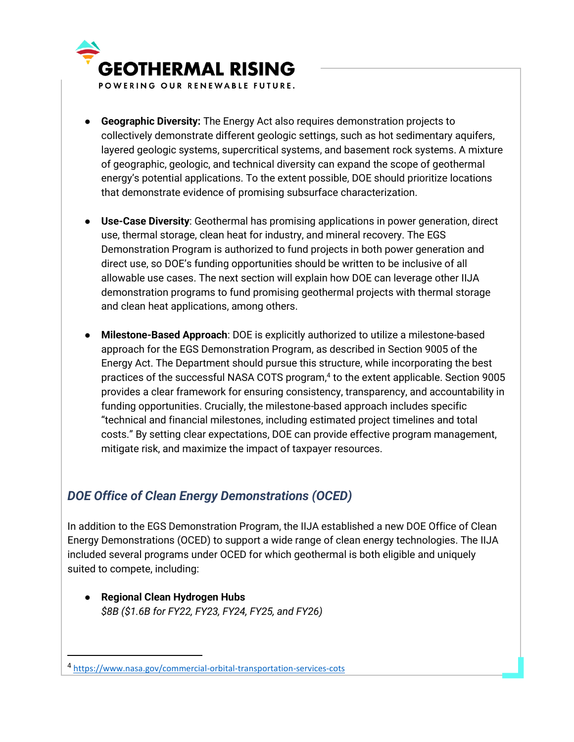

- **Geographic Diversity:** The Energy Act also requires demonstration projects to collectively demonstrate different geologic settings, such as hot sedimentary aquifers, layered geologic systems, supercritical systems, and basement rock systems. A mixture of geographic, geologic, and technical diversity can expand the scope of geothermal energy's potential applications. To the extent possible, DOE should prioritize locations that demonstrate evidence of promising subsurface characterization.
- **Use-Case Diversity**: Geothermal has promising applications in power generation, direct use, thermal storage, clean heat for industry, and mineral recovery. The EGS Demonstration Program is authorized to fund projects in both power generation and direct use, so DOE's funding opportunities should be written to be inclusive of all allowable use cases. The next section will explain how DOE can leverage other IIJA demonstration programs to fund promising geothermal projects with thermal storage and clean heat applications, among others.
- **Milestone-Based Approach**: DOE is explicitly authorized to utilize a milestone-based approach for the EGS Demonstration Program, as described in Section 9005 of the Energy Act. The Department should pursue this structure, while incorporating the best practices of the successful NASA COTS program,<sup>4</sup> to the extent applicable. Section 9005 provides a clear framework for ensuring consistency, transparency, and accountability in funding opportunities. Crucially, the milestone-based approach includes specific "technical and financial milestones, including estimated project timelines and total costs." By setting clear expectations, DOE can provide effective program management, mitigate risk, and maximize the impact of taxpayer resources.

### *DOE Office of Clean Energy Demonstrations (OCED)*

In addition to the EGS Demonstration Program, the IIJA established a new DOE Office of Clean Energy Demonstrations (OCED) to support a wide range of clean energy technologies. The IIJA included several programs under OCED for which geothermal is both eligible and uniquely suited to compete, including:

● **Regional Clean Hydrogen Hubs** *\$8B (\$1.6B for FY22, FY23, FY24, FY25, and FY26)*

<sup>4</sup> <https://www.nasa.gov/commercial-orbital-transportation-services-cots>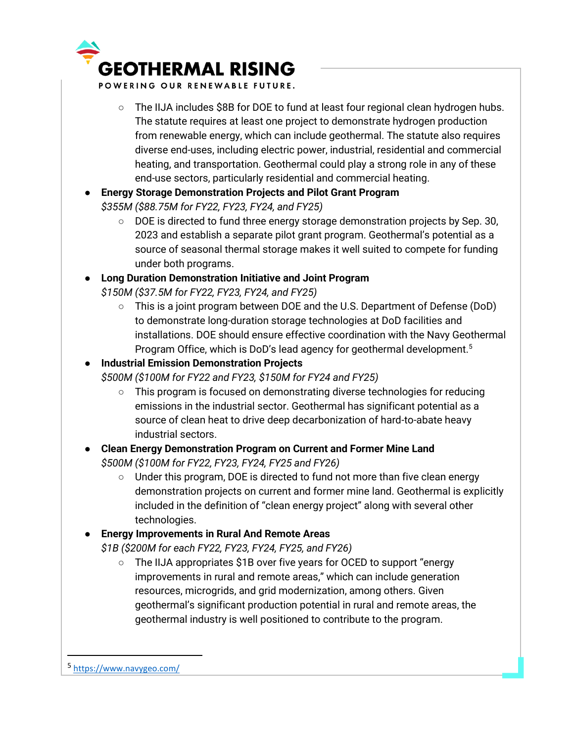

POWERING OUR RENEWABLE FUTURE.

- The IIJA includes \$8B for DOE to fund at least four regional clean hydrogen hubs. The statute requires at least one project to demonstrate hydrogen production from renewable energy, which can include geothermal. The statute also requires diverse end-uses, including electric power, industrial, residential and commercial heating, and transportation. Geothermal could play a strong role in any of these end-use sectors, particularly residential and commercial heating.
- **Energy Storage Demonstration Projects and Pilot Grant Program** *\$355M (\$88.75M for FY22, FY23, FY24, and FY25)*
	- DOE is directed to fund three energy storage demonstration projects by Sep. 30, 2023 and establish a separate pilot grant program. Geothermal's potential as a source of seasonal thermal storage makes it well suited to compete for funding under both programs.
- **Long Duration Demonstration Initiative and Joint Program** *\$150M (\$37.5M for FY22, FY23, FY24, and FY25)*
	- This is a joint program between DOE and the U.S. Department of Defense (DoD) to demonstrate long-duration storage technologies at DoD facilities and installations. DOE should ensure effective coordination with the Navy Geothermal Program Office, which is DoD's lead agency for geothermal development.<sup>5</sup>

#### ● **Industrial Emission Demonstration Projects** *\$500M (\$100M for FY22 and FY23, \$150M for FY24 and FY25)*

- This program is focused on demonstrating diverse technologies for reducing emissions in the industrial sector. Geothermal has significant potential as a source of clean heat to drive deep decarbonization of hard-to-abate heavy industrial sectors.
- **Clean Energy Demonstration Program on Current and Former Mine Land** *\$500M (\$100M for FY22, FY23, FY24, FY25 and FY26)*
	- $\circ$  Under this program, DOE is directed to fund not more than five clean energy demonstration projects on current and former mine land. Geothermal is explicitly included in the definition of "clean energy project" along with several other technologies.

#### ● **Energy Improvements in Rural And Remote Areas**

*\$1B (\$200M for each FY22, FY23, FY24, FY25, and FY26)*

○ The IIJA appropriates \$1B over five years for OCED to support "energy improvements in rural and remote areas," which can include generation resources, microgrids, and grid modernization, among others. Given geothermal's significant production potential in rural and remote areas, the geothermal industry is well positioned to contribute to the program.